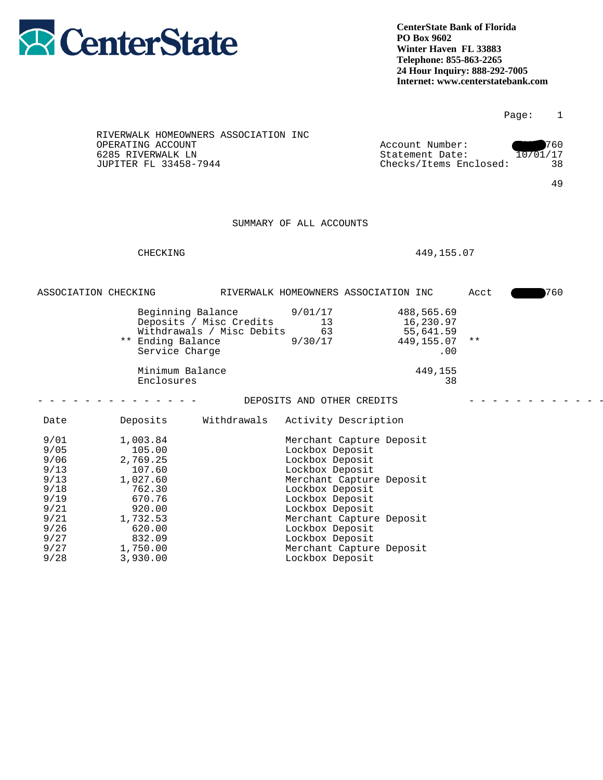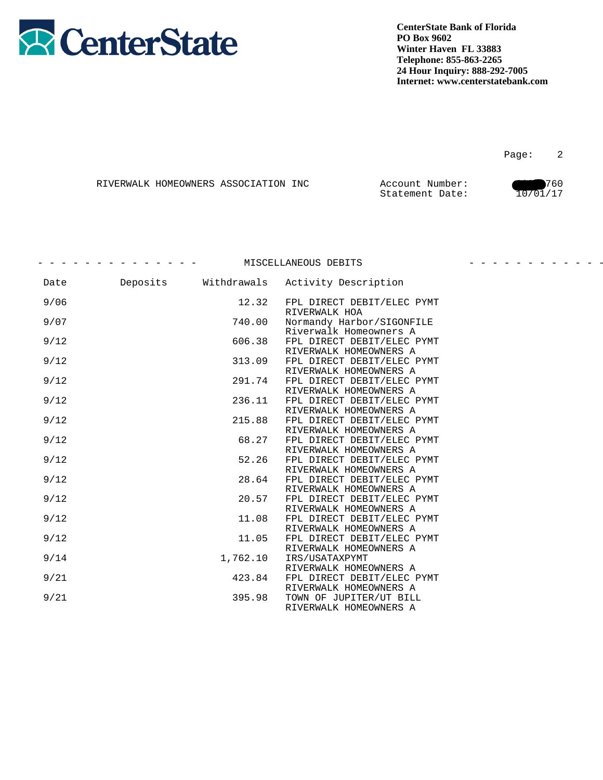

Page: 2

|  | RIVERWALK HOMEOWNERS ASSOCIATION INC | Account Number: | 760      |
|--|--------------------------------------|-----------------|----------|
|  |                                      | Statement Date: | 10/01/17 |

| 12.32    | FPL DIRECT DEBIT/ELEC PYMT |                                                                                                                                                                                                                                                                                                                                                                                                                                                                                                                                          |
|----------|----------------------------|------------------------------------------------------------------------------------------------------------------------------------------------------------------------------------------------------------------------------------------------------------------------------------------------------------------------------------------------------------------------------------------------------------------------------------------------------------------------------------------------------------------------------------------|
| 740.00   | Normandy Harbor/SIGONFILE  |                                                                                                                                                                                                                                                                                                                                                                                                                                                                                                                                          |
|          | FPL DIRECT DEBIT/ELEC PYMT |                                                                                                                                                                                                                                                                                                                                                                                                                                                                                                                                          |
|          | FPL DIRECT DEBIT/ELEC PYMT |                                                                                                                                                                                                                                                                                                                                                                                                                                                                                                                                          |
|          | FPL DIRECT DEBIT/ELEC PYMT |                                                                                                                                                                                                                                                                                                                                                                                                                                                                                                                                          |
| 236.11   | FPL DIRECT DEBIT/ELEC PYMT |                                                                                                                                                                                                                                                                                                                                                                                                                                                                                                                                          |
| 215.88   | FPL DIRECT DEBIT/ELEC PYMT |                                                                                                                                                                                                                                                                                                                                                                                                                                                                                                                                          |
| 68.27    | FPL DIRECT DEBIT/ELEC PYMT |                                                                                                                                                                                                                                                                                                                                                                                                                                                                                                                                          |
| 52.26    | FPL DIRECT DEBIT/ELEC PYMT |                                                                                                                                                                                                                                                                                                                                                                                                                                                                                                                                          |
| 28.64    | FPL DIRECT DEBIT/ELEC PYMT |                                                                                                                                                                                                                                                                                                                                                                                                                                                                                                                                          |
| 20.57    | FPL DIRECT DEBIT/ELEC PYMT |                                                                                                                                                                                                                                                                                                                                                                                                                                                                                                                                          |
| 11.08    | FPL DIRECT DEBIT/ELEC PYMT |                                                                                                                                                                                                                                                                                                                                                                                                                                                                                                                                          |
| 11.05    | FPL DIRECT DEBIT/ELEC PYMT |                                                                                                                                                                                                                                                                                                                                                                                                                                                                                                                                          |
| 1,762.10 | IRS/USATAXPYMT             |                                                                                                                                                                                                                                                                                                                                                                                                                                                                                                                                          |
|          | FPL DIRECT DEBIT/ELEC PYMT |                                                                                                                                                                                                                                                                                                                                                                                                                                                                                                                                          |
| 395.98   | TOWN OF JUPITER/UT BILL    |                                                                                                                                                                                                                                                                                                                                                                                                                                                                                                                                          |
|          |                            | - - - - MISCELLANEOUS DEBITS<br>Deposits Withdrawals Activity Description<br>RIVERWALK HOA<br>Riverwalk Homeowners A<br>606.38<br>RIVERWALK HOMEOWNERS A<br>313.09<br>RIVERWALK HOMEOWNERS A<br>291.74<br>RIVERWALK HOMEOWNERS A<br>RIVERWALK HOMEOWNERS A<br>RIVERWALK HOMEOWNERS A<br>RIVERWALK HOMEOWNERS A<br>RIVERWALK HOMEOWNERS A<br>RIVERWALK HOMEOWNERS A<br>RIVERWALK HOMEOWNERS A<br>RIVERWALK HOMEOWNERS A<br>RIVERWALK HOMEOWNERS A<br>RIVERWALK HOMEOWNERS A<br>423.84<br>RIVERWALK HOMEOWNERS A<br>RIVERWALK HOMEOWNERS A |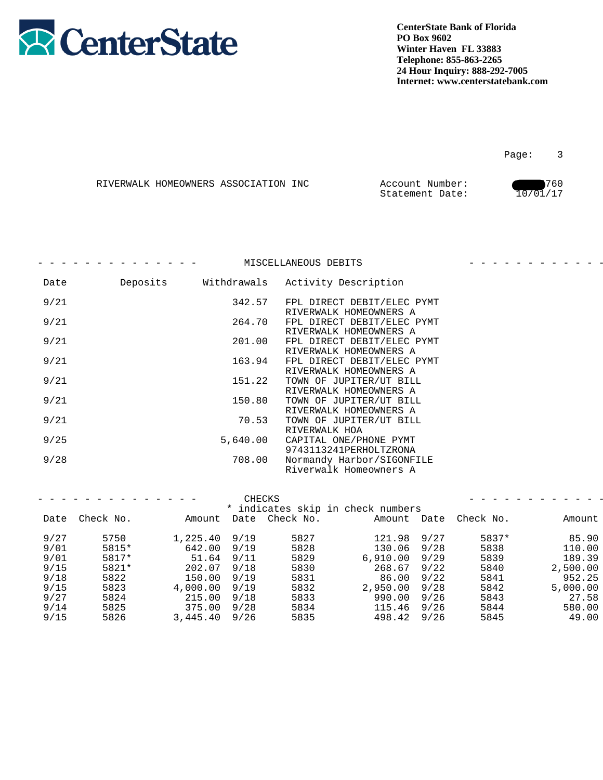

| RIVERWALK HOMEOWNERS ASSOCIATION INC | Account Number: | 1760     |
|--------------------------------------|-----------------|----------|
|                                      | Statement Date: | 10/01/17 |

|      |          |               | MISCELLANEOUS DEBITS                                 |  |
|------|----------|---------------|------------------------------------------------------|--|
| Date | Deposits | Withdrawals   | Activity Description                                 |  |
| 9/21 |          | 342.57        | FPL DIRECT DEBIT/ELEC PYMT<br>RIVERWALK HOMEOWNERS A |  |
| 9/21 |          | 264.70        | FPL DIRECT DEBIT/ELEC PYMT<br>RIVERWALK HOMEOWNERS A |  |
| 9/21 |          | 201.00        | FPL DIRECT DEBIT/ELEC PYMT<br>RIVERWALK HOMEOWNERS A |  |
| 9/21 |          | 163.94        | FPL DIRECT DEBIT/ELEC PYMT<br>RIVERWALK HOMEOWNERS A |  |
| 9/21 |          | 151.22        | TOWN OF JUPITER/UT BILL<br>RIVERWALK HOMEOWNERS A    |  |
| 9/21 |          | 150.80        | TOWN OF JUPITER/UT BILL<br>RIVERWALK HOMEOWNERS A    |  |
| 9/21 |          | 70.53         | TOWN OF JUPITER/UT BILL<br>RIVERWALK HOA             |  |
| 9/25 |          | 5,640.00      | CAPITAL ONE/PHONE PYMT<br>9743113241PERHOLTZRONA     |  |
| 9/28 |          | 708.00        | Normandy Harbor/SIGONFILE<br>Riverwalk Homeowners A  |  |
|      |          |               |                                                      |  |
|      |          | <b>CHECKS</b> |                                                      |  |
|      |          |               | * indicates skip in check numbers                    |  |

|       |                        |                                                                                                                         |                                                          |                                   | Amount                                                                                                                                                                       |
|-------|------------------------|-------------------------------------------------------------------------------------------------------------------------|----------------------------------------------------------|-----------------------------------|------------------------------------------------------------------------------------------------------------------------------------------------------------------------------|
|       |                        |                                                                                                                         |                                                          |                                   | 85.90                                                                                                                                                                        |
| 5815* |                        | 5828                                                                                                                    |                                                          | 5838                              | 110.00                                                                                                                                                                       |
| 5817* |                        | 5829                                                                                                                    |                                                          | 5839                              | 189.39                                                                                                                                                                       |
| 5821* |                        | 5830                                                                                                                    |                                                          | 5840                              | 2,500.00                                                                                                                                                                     |
| 5822  |                        | 5831                                                                                                                    |                                                          | 5841                              | 952.25                                                                                                                                                                       |
| 5823  |                        | 5832                                                                                                                    |                                                          | 5842                              | 5,000.00                                                                                                                                                                     |
| 5824  |                        | 5833                                                                                                                    |                                                          | 5843                              | 27.58                                                                                                                                                                        |
| 5825  |                        | 5834                                                                                                                    |                                                          | 5844                              | 580.00                                                                                                                                                                       |
| 5826  |                        | 5835                                                                                                                    |                                                          | 5845                              | 49.00                                                                                                                                                                        |
|       | Date Check No.<br>5750 | 1,225.40 9/19<br>642.00 9/19<br>51.64 9/11<br>202.07 9/18<br>150.00 9/19<br>215.00 9/18<br>375.00 9/28<br>3,445.40 9/26 | ------<br>Amount Date Check No.<br>5827<br>4,000.00 9/19 | * indicates skip in check numbers | Amount Date Check No.<br>121.98 9/27<br>5837*<br>130.06 9/28<br>$6,910.00$ $9/29$<br>268.67 9/22<br>86.00 9/22<br>2,950.00 9/28<br>990.00 9/26<br>115.46 9/26<br>498.42 9/26 |